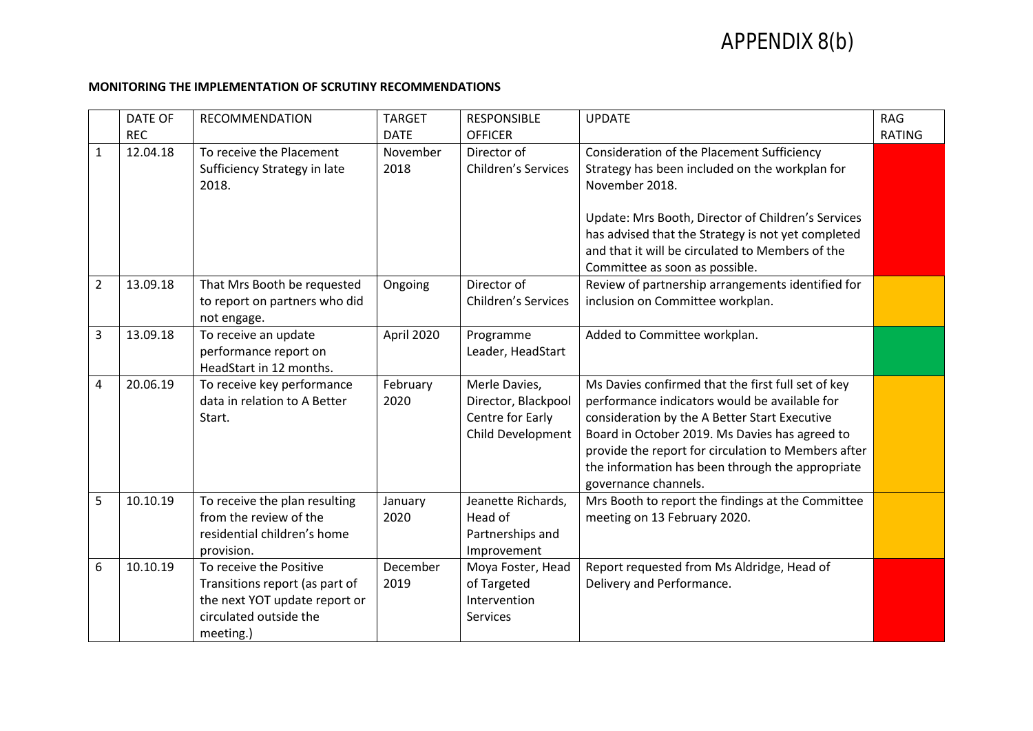## APPENDIX 8(b)

## **MONITORING THE IMPLEMENTATION OF SCRUTINY RECOMMENDATIONS**

|                | <b>DATE OF</b> | <b>RECOMMENDATION</b>                                                                                                             | <b>TARGET</b>    | <b>RESPONSIBLE</b>                                                            | <b>UPDATE</b>                                                                                                                                                                                                                                                                                                                             | <b>RAG</b>    |
|----------------|----------------|-----------------------------------------------------------------------------------------------------------------------------------|------------------|-------------------------------------------------------------------------------|-------------------------------------------------------------------------------------------------------------------------------------------------------------------------------------------------------------------------------------------------------------------------------------------------------------------------------------------|---------------|
|                | <b>REC</b>     |                                                                                                                                   | <b>DATE</b>      | <b>OFFICER</b>                                                                |                                                                                                                                                                                                                                                                                                                                           | <b>RATING</b> |
| 1              | 12.04.18       | To receive the Placement<br>Sufficiency Strategy in late<br>2018.                                                                 | November<br>2018 | Director of<br><b>Children's Services</b>                                     | <b>Consideration of the Placement Sufficiency</b><br>Strategy has been included on the workplan for<br>November 2018.                                                                                                                                                                                                                     |               |
|                |                |                                                                                                                                   |                  |                                                                               | Update: Mrs Booth, Director of Children's Services<br>has advised that the Strategy is not yet completed<br>and that it will be circulated to Members of the<br>Committee as soon as possible.                                                                                                                                            |               |
| $\overline{2}$ | 13.09.18       | That Mrs Booth be requested<br>to report on partners who did<br>not engage.                                                       | Ongoing          | Director of<br><b>Children's Services</b>                                     | Review of partnership arrangements identified for<br>inclusion on Committee workplan.                                                                                                                                                                                                                                                     |               |
| 3              | 13.09.18       | To receive an update<br>performance report on<br>HeadStart in 12 months.                                                          | April 2020       | Programme<br>Leader, HeadStart                                                | Added to Committee workplan.                                                                                                                                                                                                                                                                                                              |               |
| 4              | 20.06.19       | To receive key performance<br>data in relation to A Better<br>Start.                                                              | February<br>2020 | Merle Davies,<br>Director, Blackpool<br>Centre for Early<br>Child Development | Ms Davies confirmed that the first full set of key<br>performance indicators would be available for<br>consideration by the A Better Start Executive<br>Board in October 2019. Ms Davies has agreed to<br>provide the report for circulation to Members after<br>the information has been through the appropriate<br>governance channels. |               |
| 5              | 10.10.19       | To receive the plan resulting<br>from the review of the<br>residential children's home<br>provision.                              | January<br>2020  | Jeanette Richards,<br>Head of<br>Partnerships and<br>Improvement              | Mrs Booth to report the findings at the Committee<br>meeting on 13 February 2020.                                                                                                                                                                                                                                                         |               |
| 6              | 10.10.19       | To receive the Positive<br>Transitions report (as part of<br>the next YOT update report or<br>circulated outside the<br>meeting.) | December<br>2019 | Moya Foster, Head<br>of Targeted<br>Intervention<br>Services                  | Report requested from Ms Aldridge, Head of<br>Delivery and Performance.                                                                                                                                                                                                                                                                   |               |